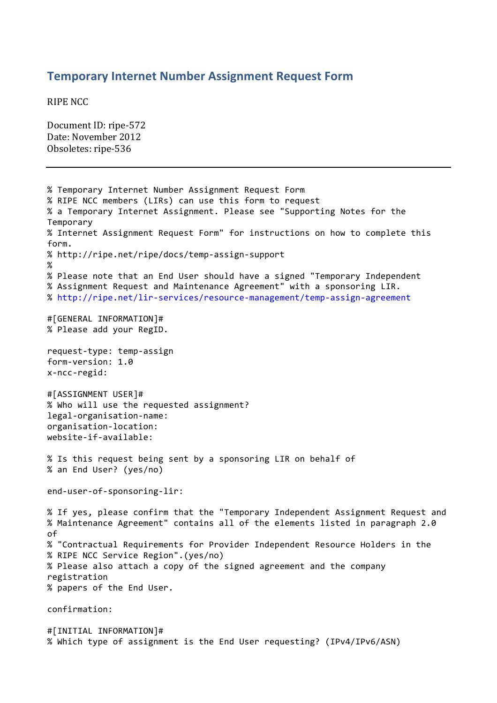## **Temporary Internet Number Assignment Request Form**

**RIPE NCC** 

Document ID: ripe-572 Date: November 2012 Obsoletes: ripe-536

% Temporary Internet Number Assignment Request Form % RIPE NCC members (LIRs) can use this form to request % a Temporary Internet Assignment. Please see "Supporting Notes for the Temporary % Internet Assignment Request Form" for instructions on how to complete this form. % http://ripe.net/ripe/docs/temp-assign-support % % Please note that an End User should have a signed "Temporary Independent % Assignment Request and Maintenance Agreement" with a sponsoring LIR. % http://ripe.net/lir-services/resource-management/temp-assign-agreement #[GENERAL"INFORMATION]# % Please add your RegID. request-type: temp-assign form-version: 1.0 x-ncc-regid: #[ASSIGNMENT USER]# % Who will use the requested assignment? legal-organisation-name: organisation-location: website-if-available: % Is this request being sent by a sponsoring LIR on behalf of % an End User? (yes/no) end-user-of-sponsoring-lir: %"If"yes,"please"confirm"that"the""Temporary"Independent"Assignment"Request"and %"Maintenance"Agreement""contains"all"of"the"elements"listed"in"paragraph"2.0" of % "Contractual Requirements for Provider Independent Resource Holders in the % RIPE NCC Service Region".(yes/no) % Please also attach a copy of the signed agreement and the company registration % papers of the End User. confirmation:

#[INITIAL INFORMATION]# % Which type of assignment is the End User requesting? (IPv4/IPv6/ASN)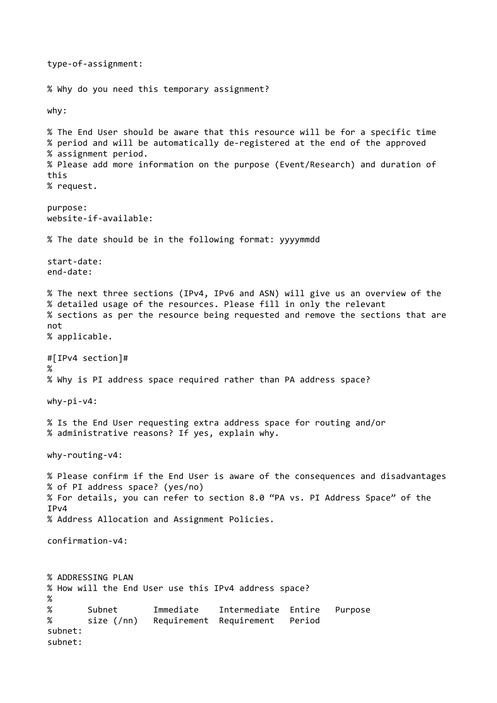type-of-assignment: % Why do you need this temporary assignment? why: % The End User should be aware that this resource will be for a specific time % period and will be automatically de-registered at the end of the approved % assignment period. % Please add more information on the purpose (Event/Research) and duration of this"" % request. purpose:  $website-if-available:$ % The date should be in the following format: yyyymmdd start-date: end-date: % The next three sections (IPv4, IPv6 and ASN) will give us an overview of the % detailed usage of the resources. Please fill in only the relevant % sections as per the resource being requested and remove the sections that are not. % applicable. #[IPv4 section]# %" % Why is PI address space required rather than PA address space?  $whv-pi-v4$ : % Is the End User requesting extra address space for routing and/or % administrative reasons? If yes, explain why.  $why$ -routing-v4: % Please confirm if the End User is aware of the consequences and disadvantages % of PI address space? (yes/no) % For details, you can refer to section 8.0 "PA vs. PI Address Space" of the  $TPv4$ % Address Allocation and Assignment Policies.  $confirmation-v4:$ % ADDRESSING PLAN % How will the End User use this IPv4 address space? %" % Subnet "Immediate Intermediate Entire Purpose % size (/nn) Requirement Requirement Period subnet: subnet: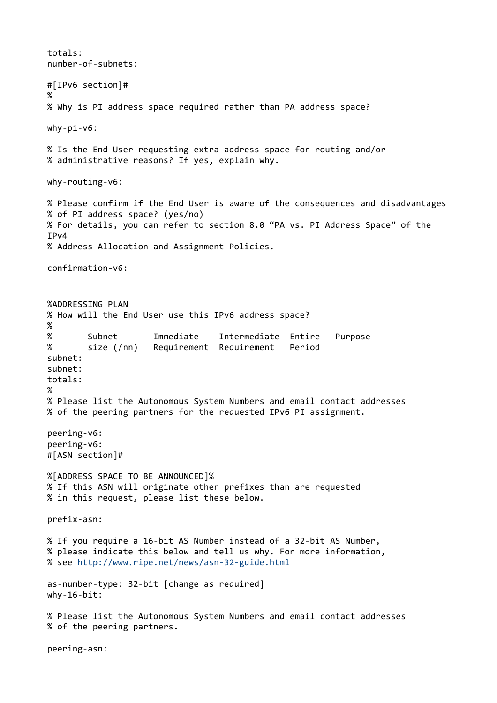totals: number-of-subnets: #[IPv6 section]# % % Why is PI address space required rather than PA address space?  $why-pi-v6$ : % Is the End User requesting extra address space for routing and/or % administrative reasons? If yes, explain why.  $why$ -routing-v6: %"Please"confirm"if"the"End"User"is"aware"of"the"consequences"and"disadvantages" % of PI address space? (yes/no) % For details, you can refer to section 8.0 "PA vs. PI Address Space" of the TP<sub>v4</sub> % Address Allocation and Assignment Policies.  $confirmation-<sub>Y6</sub>:$ %ADDRESSING PLAN % How will the End User use this IPv6 address space?  $\frac{8}{3}$ Subnet "Immediate Intermediate Entire Purpose % size (/nn) Requirement Requirement Period subnet: subnet: totals: % % Please list the Autonomous System Numbers and email contact addresses % of the peering partners for the requested IPv6 PI assignment. peering-v6: peering-v6: #[ASN section]# %[ADDRESS SPACE TO BE ANNOUNCED]% % If this ASN will originate other prefixes than are requested % in this request, please list these below. prefix-asn: % If you require a 16-bit AS Number instead of a 32-bit AS Number, % please indicate this below and tell us why. For more information, % see http://www.ripe.net/news/asn-32-guide.html as-number-type: 32-bit [change as required]  $why-16-bit:$ % Please list the Autonomous System Numbers and email contact addresses % of the peering partners. peering-asn: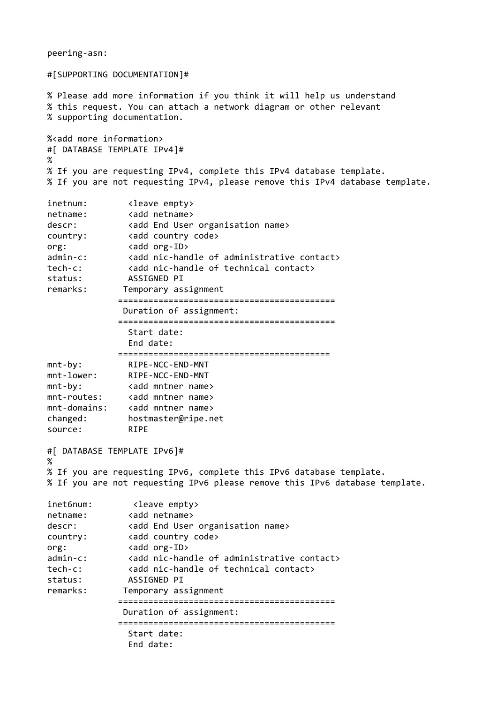```
#[SUPPORTING DOCUMENTATION]#
% Please add more information if you think it will help us understand
% this request. You can attach a network diagram or other relevant
% supporting documentation.
%<add more information>
#[ DATABASE TEMPLATE IPv4]#
%
% If you are requesting IPv4, complete this IPv4 database template.
% If you are not requesting IPv4, please remove this IPv4 database template.
inetnum: <leave empty><br>netname: <add netname>
                <add netname>
descr: <add End User organisation name><br>country: <add country code>
             <add country code>
org: \langle \text{add org-ID} \rangleadmin-c: <add nic-handle of administrative contact>
tech-c: <add nic-handle of technical contact>
status: ASSIGNED PI
remarks: Temporary assignment
              """"""""""""""===========================================
               Duration of assignment:
              """"""""""""""===========================================
                Start date:
                End date:
              """"""""""""""==========================================
mntIby:"""""""""RIPEINCCIENDIMNT
              RIPE-NCC-END-MNT
mnt-by: <add mntner name>
mnt-routes: <add mntner name>
mnt-domains:    <add mntner name>
changed:""""""""hostmaster@ripe.net
source: RIPE
#[ DATABASE TEMPLATE IPv6]#
%
% If you are requesting IPv6, complete this IPv6 database template.
% If you are not requesting IPv6 please remove this IPv6 database template.
inet6num: <leave empty><br>netname: <add netname>
                <add netname>
descr: <add End User organisation name>
country: <add country code>
org: <add org-ID>
admin-c: <add nic-handle of administrative contact>
tech-c: \langle \text{add nic-handle of technical contacts} \ranglestatus: ASSIGNED PI
remarks: Temporary assignment
              """"""""""""""===========================================
               Duration of assignment:
              """"""""""""""===========================================
                Start date:
                End date:
```
peering-asn: